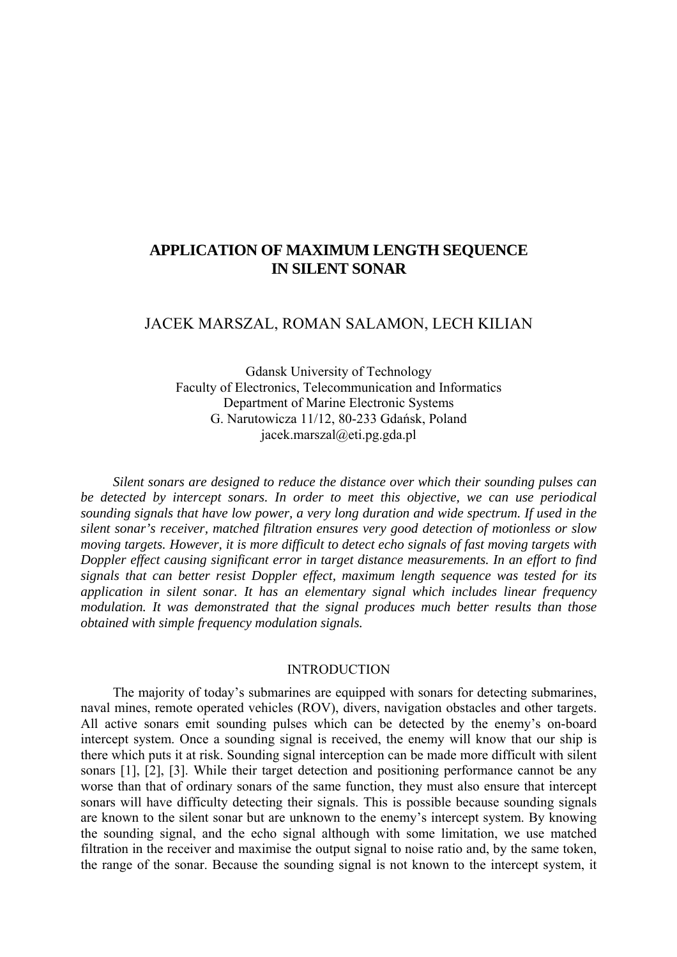# **APPLICATION OF MAXIMUM LENGTH SEQUENCE IN SILENT SONAR**

## JACEK MARSZAL, ROMAN SALAMON, LECH KILIAN

Gdansk University of Technology Faculty of Electronics, Telecommunication and Informatics Department of Marine Electronic Systems G. Narutowicza 11/12, 80-233 Gdańsk, Poland jacek.marszal@eti.pg.gda.pl

*Silent sonars are designed to reduce the distance over which their sounding pulses can be detected by intercept sonars. In order to meet this objective, we can use periodical sounding signals that have low power, a very long duration and wide spectrum. If used in the silent sonar's receiver, matched filtration ensures very good detection of motionless or slow moving targets. However, it is more difficult to detect echo signals of fast moving targets with Doppler effect causing significant error in target distance measurements. In an effort to find signals that can better resist Doppler effect, maximum length sequence was tested for its application in silent sonar. It has an elementary signal which includes linear frequency modulation. It was demonstrated that the signal produces much better results than those obtained with simple frequency modulation signals.* 

#### INTRODUCTION

The majority of today's submarines are equipped with sonars for detecting submarines, naval mines, remote operated vehicles (ROV), divers, navigation obstacles and other targets. All active sonars emit sounding pulses which can be detected by the enemy's on-board intercept system. Once a sounding signal is received, the enemy will know that our ship is there which puts it at risk. Sounding signal interception can be made more difficult with silent sonars [1], [2], [3]. While their target detection and positioning performance cannot be any worse than that of ordinary sonars of the same function, they must also ensure that intercept sonars will have difficulty detecting their signals. This is possible because sounding signals are known to the silent sonar but are unknown to the enemy's intercept system. By knowing the sounding signal, and the echo signal although with some limitation, we use matched filtration in the receiver and maximise the output signal to noise ratio and, by the same token, the range of the sonar. Because the sounding signal is not known to the intercept system, it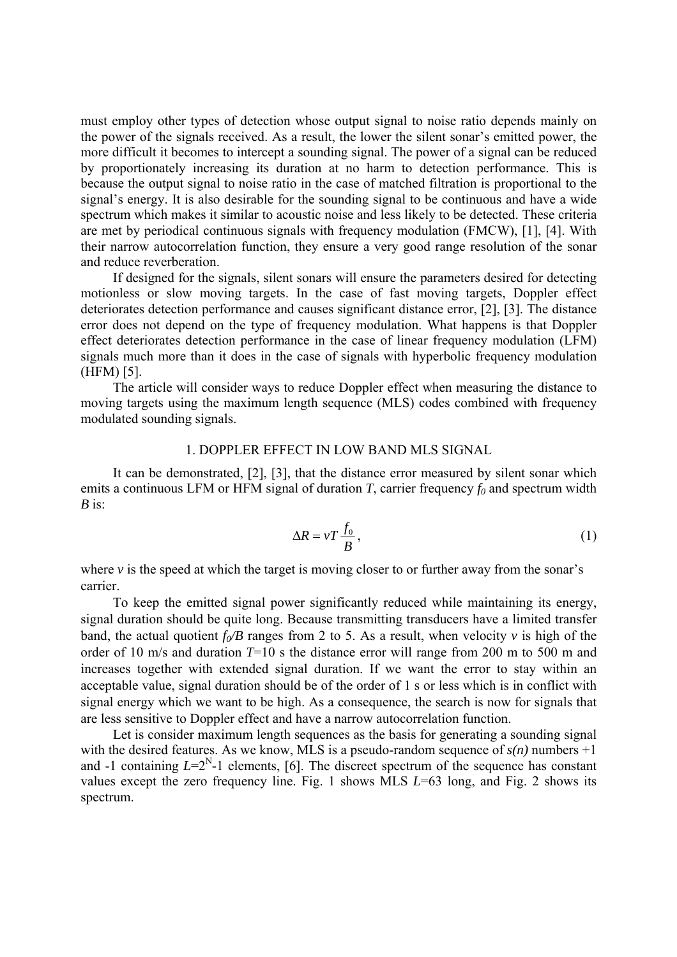must employ other types of detection whose output signal to noise ratio depends mainly on the power of the signals received. As a result, the lower the silent sonar's emitted power, the more difficult it becomes to intercept a sounding signal. The power of a signal can be reduced by proportionately increasing its duration at no harm to detection performance. This is because the output signal to noise ratio in the case of matched filtration is proportional to the signal's energy. It is also desirable for the sounding signal to be continuous and have a wide spectrum which makes it similar to acoustic noise and less likely to be detected. These criteria are met by periodical continuous signals with frequency modulation (FMCW), [1], [4]. With their narrow autocorrelation function, they ensure a very good range resolution of the sonar and reduce reverberation.

If designed for the signals, silent sonars will ensure the parameters desired for detecting motionless or slow moving targets. In the case of fast moving targets, Doppler effect deteriorates detection performance and causes significant distance error, [2], [3]. The distance error does not depend on the type of frequency modulation. What happens is that Doppler effect deteriorates detection performance in the case of linear frequency modulation (LFM) signals much more than it does in the case of signals with hyperbolic frequency modulation (HFM) [5].

The article will consider ways to reduce Doppler effect when measuring the distance to moving targets using the maximum length sequence (MLS) codes combined with frequency modulated sounding signals.

#### 1. DOPPLER EFFECT IN LOW BAND MLS SIGNAL

 It can be demonstrated, [2], [3], that the distance error measured by silent sonar which emits a continuous LFM or HFM signal of duration *T*, carrier frequency  $f_0$  and spectrum width *B* is:

$$
\Delta R = vT \frac{f_0}{B},\tag{1}
$$

where  $\nu$  is the speed at which the target is moving closer to or further away from the sonar's carrier.

 To keep the emitted signal power significantly reduced while maintaining its energy, signal duration should be quite long. Because transmitting transducers have a limited transfer band, the actual quotient  $f_0/B$  ranges from 2 to 5. As a result, when velocity *v* is high of the order of 10 m/s and duration *T*=10 s the distance error will range from 200 m to 500 m and increases together with extended signal duration. If we want the error to stay within an acceptable value, signal duration should be of the order of 1 s or less which is in conflict with signal energy which we want to be high. As a consequence, the search is now for signals that are less sensitive to Doppler effect and have a narrow autocorrelation function.

Let is consider maximum length sequences as the basis for generating a sounding signal with the desired features. As we know, MLS is a pseudo-random sequence of  $s(n)$  numbers  $+1$ and -1 containing  $L=2^N-1$  elements, [6]. The discreet spectrum of the sequence has constant values except the zero frequency line. Fig. 1 shows MLS *L*=63 long, and Fig. 2 shows its spectrum.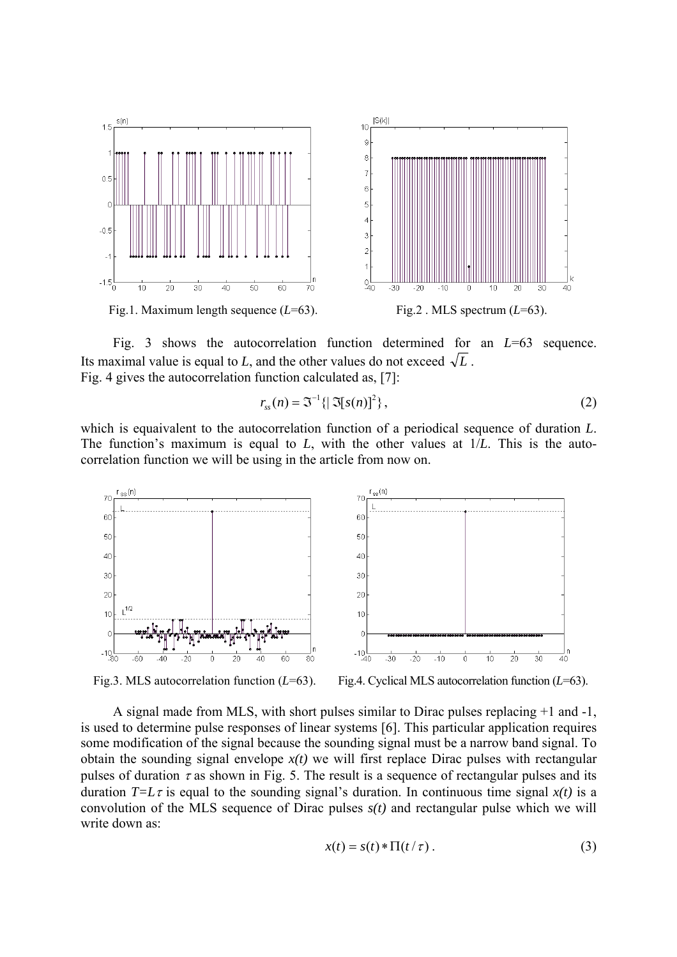

 Fig. 3 shows the autocorrelation function determined for an *L*=63 sequence. Its maximal value is equal to *L*, and the other values do not exceed  $\sqrt{L}$ . Fig. 4 gives the autocorrelation function calculated as, [7]:

$$
r_{ss}(n) = \mathfrak{S}^{-1}\left\{\left|\mathfrak{S}[s(n)]^2\right\},\tag{2}
$$

which is equaivalent to the autocorrelation function of a periodical sequence of duration *L*. The function's maximum is equal to *L*, with the other values at 1/*L*. This is the autocorrelation function we will be using in the article from now on.



Fig.3. MLS autocorrelation function (*L*=63). Fig.4. Cyclical MLS autocorrelation function (*L*=63).

A signal made from MLS, with short pulses similar to Dirac pulses replacing +1 and -1, is used to determine pulse responses of linear systems [6]. This particular application requires some modification of the signal because the sounding signal must be a narrow band signal. To obtain the sounding signal envelope  $x(t)$  we will first replace Dirac pulses with rectangular pulses of duration  $\tau$  as shown in Fig. 5. The result is a sequence of rectangular pulses and its duration  $T=L\tau$  is equal to the sounding signal's duration. In continuous time signal  $x(t)$  is a convolution of the MLS sequence of Dirac pulses *s(t)* and rectangular pulse which we will write down as:

$$
x(t) = s(t) * \Pi(t/\tau).
$$
 (3)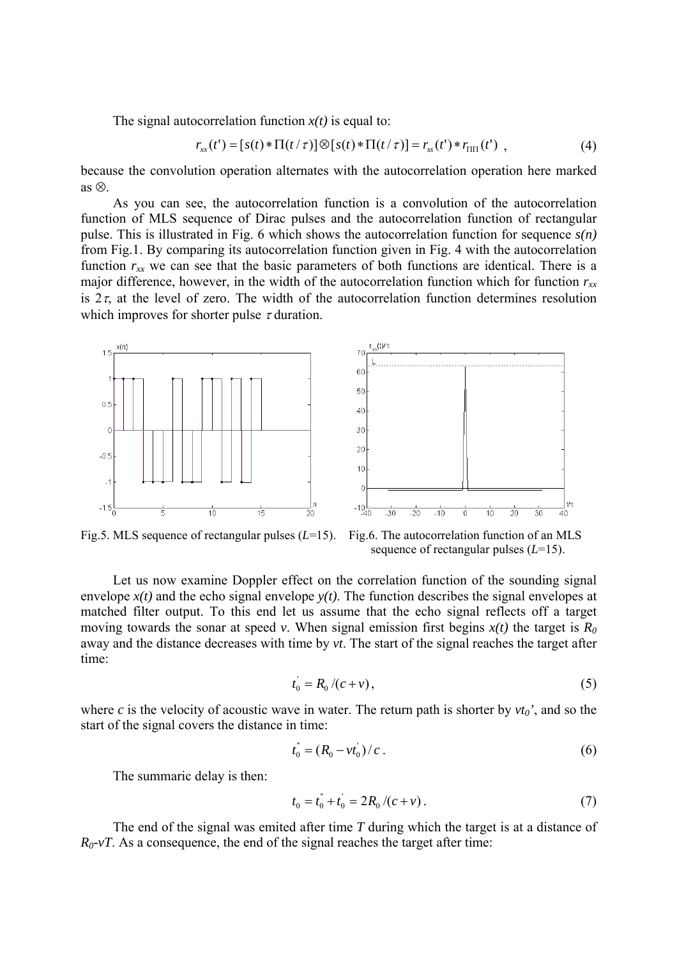The signal autocorrelation function  $x(t)$  is equal to:

$$
r_{xx}(t') = [s(t) * \Pi(t/\tau)] \otimes [s(t) * \Pi(t/\tau)] = r_{ss}(t') * r_{\Pi\Pi}(t'), \qquad (4)
$$

because the convolution operation alternates with the autocorrelation operation here marked as ⊗.

As you can see, the autocorrelation function is a convolution of the autocorrelation function of MLS sequence of Dirac pulses and the autocorrelation function of rectangular pulse. This is illustrated in Fig. 6 which shows the autocorrelation function for sequence *s(n)* from Fig.1. By comparing its autocorrelation function given in Fig. 4 with the autocorrelation function  $r_{xx}$  we can see that the basic parameters of both functions are identical. There is a major difference, however, in the width of the autocorrelation function which for function  $r_{xx}$ is  $2\tau$ , at the level of zero. The width of the autocorrelation function determines resolution which improves for shorter pulse  $\tau$  duration.



Fig.5. MLS sequence of rectangular pulses (*L*=15). Fig.6. The autocorrelation function of an MLS sequence of rectangular pulses (*L*=15).

Let us now examine Doppler effect on the correlation function of the sounding signal envelope  $x(t)$  and the echo signal envelope  $y(t)$ . The function describes the signal envelopes at matched filter output. To this end let us assume that the echo signal reflects off a target moving towards the sonar at speed *v*. When signal emission first begins  $x(t)$  the target is  $R_0$ away and the distance decreases with time by *vt*. The start of the signal reaches the target after time:

$$
t_0 = R_0 / (c + v),
$$
 (5)

where *c* is the velocity of acoustic wave in water. The return path is shorter by  $vt_0$ <sup>'</sup>, and so the start of the signal covers the distance in time:

$$
t_0^* = (R_0 - vt_0^*)/c \tag{6}
$$

The summaric delay is then:

$$
t_0 = t_0^* + t_0^* = 2R_0/(c+v).
$$
 (7)

The end of the signal was emited after time *T* during which the target is at a distance of  $R_0$ -*vT*. As a consequence, the end of the signal reaches the target after time: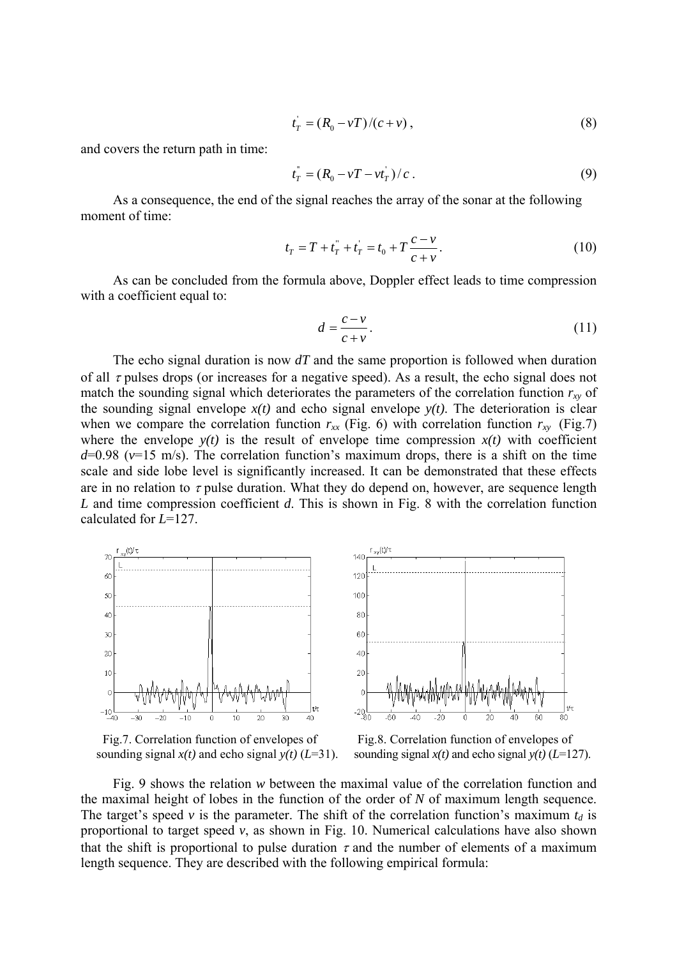$$
t_T = (R_0 - vT)/(c + v),
$$
\n(8)

and covers the return path in time:

$$
t_T^{\dagger} = (R_0 - vT - vt_T^{\dagger})/c \,. \tag{9}
$$

As a consequence, the end of the signal reaches the array of the sonar at the following moment of time:

$$
t_T = T + t_T^{"} + t_T^{"} = t_0 + T \frac{c - v}{c + v}.
$$
\n(10)

 As can be concluded from the formula above, Doppler effect leads to time compression with a coefficient equal to:

$$
d = \frac{c - v}{c + v}.\tag{11}
$$

The echo signal duration is now *dT* and the same proportion is followed when duration of all  $\tau$  pulses drops (or increases for a negative speed). As a result, the echo signal does not match the sounding signal which deteriorates the parameters of the correlation function  $r_{xy}$  of the sounding signal envelope  $x(t)$  and echo signal envelope  $y(t)$ . The deterioration is clear when we compare the correlation function  $r_{xx}$  (Fig. 6) with correlation function  $r_{xy}$  (Fig. 7) where the envelope  $y(t)$  is the result of envelope time compression  $x(t)$  with coefficient  $d=0.98$  ( $v=15$  m/s). The correlation function's maximum drops, there is a shift on the time scale and side lobe level is significantly increased. It can be demonstrated that these effects are in no relation to  $\tau$  pulse duration. What they do depend on, however, are sequence length *L* and time compression coefficient *d*. This is shown in Fig. 8 with the correlation function calculated for *L*=127.







sounding signal  $x(t)$  and echo signal  $y(t)$  ( $L=31$ ). sounding signal  $x(t)$  and echo signal  $y(t)$  ( $L=127$ ).

Fig. 9 shows the relation *w* between the maximal value of the correlation function and the maximal height of lobes in the function of the order of *N* of maximum length sequence. The target's speed *v* is the parameter. The shift of the correlation function's maximum  $t_d$  is proportional to target speed *v*, as shown in Fig. 10. Numerical calculations have also shown that the shift is proportional to pulse duration  $\tau$  and the number of elements of a maximum length sequence. They are described with the following empirical formula: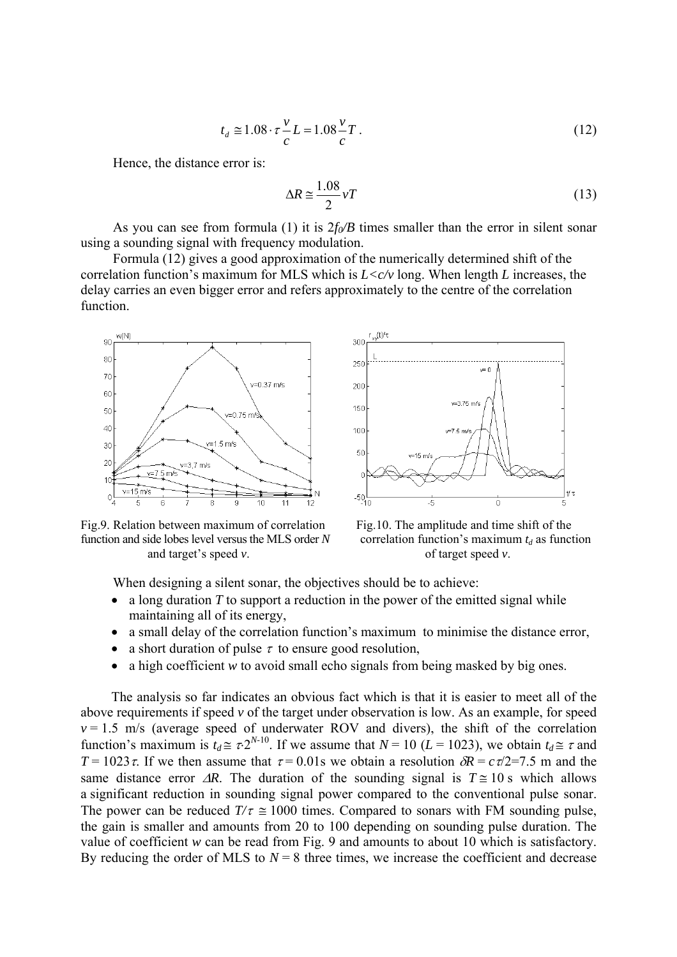$$
t_d \approx 1.08 \cdot \tau \frac{v}{c} L = 1.08 \frac{v}{c} T. \tag{12}
$$

Hence, the distance error is:

$$
\Delta R \approx \frac{1.08}{2} vT \tag{13}
$$

As you can see from formula (1) it is  $2f_0/B$  times smaller than the error in silent sonar using a sounding signal with frequency modulation.

Formula (12) gives a good approximation of the numerically determined shift of the correlation function's maximum for MLS which is *L<c/v* long. When length *L* increases, the delay carries an even bigger error and refers approximately to the centre of the correlation function.



Fig.9. Relation between maximum of correlation Fig.10. The amplitude and time shift of the function and side lobes level versus the MLS order *N* correlation function's maximum  $t_d$  as function and target's speed *v*. of target speed *v*.



When designing a silent sonar, the objectives should be to achieve:

- a long duration *T* to support a reduction in the power of the emitted signal while maintaining all of its energy,
- a small delay of the correlation function's maximum to minimise the distance error,
- a short duration of pulse  $\tau$  to ensure good resolution,
- a high coefficient *w* to avoid small echo signals from being masked by big ones.

The analysis so far indicates an obvious fact which is that it is easier to meet all of the above requirements if speed *v* of the target under observation is low. As an example, for speed  $v = 1.5$  m/s (average speed of underwater ROV and divers), the shift of the correlation function's maximum is  $t_d \approx \tau 2^{N-10}$ . If we assume that  $N = 10$  ( $L = 1023$ ), we obtain  $t_d \approx \tau$  and *T* = 1023 *τ*. If we then assume that  $\tau$  = 0.01s we obtain a resolution  $\delta R = c \tau/2$ =7.5 m and the same distance error  $\Delta R$ . The duration of the sounding signal is  $T \approx 10$  s which allows a significant reduction in sounding signal power compared to the conventional pulse sonar. The power can be reduced  $T/\tau \approx 1000$  times. Compared to sonars with FM sounding pulse, the gain is smaller and amounts from 20 to 100 depending on sounding pulse duration. The value of coefficient *w* can be read from Fig. 9 and amounts to about 10 which is satisfactory. By reducing the order of MLS to  $N = 8$  three times, we increase the coefficient and decrease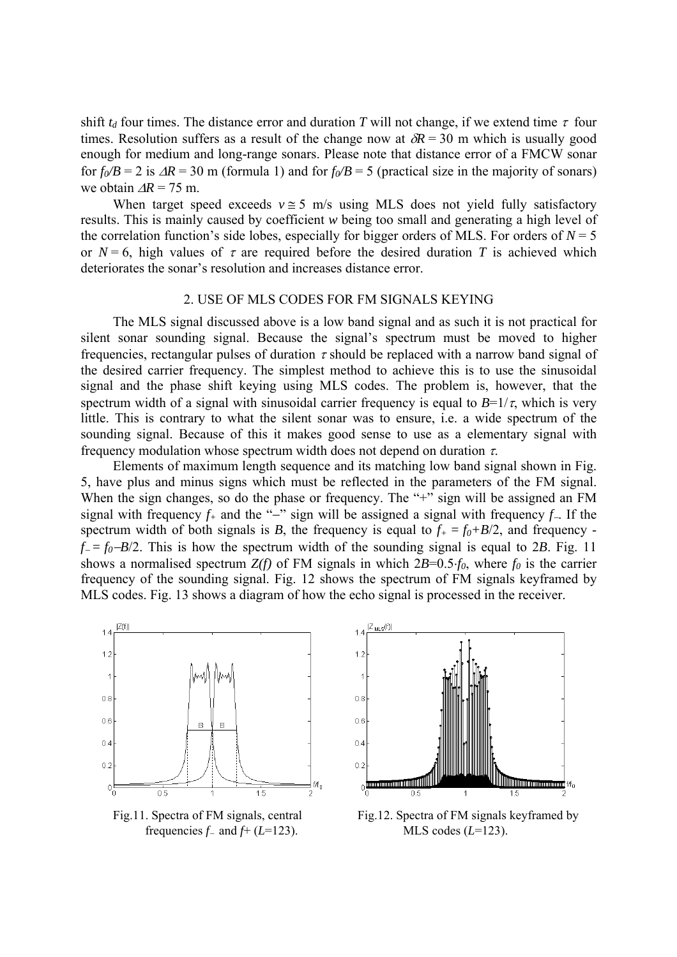shift  $t_d$  four times. The distance error and duration *T* will not change, if we extend time  $\tau$  four times. Resolution suffers as a result of the change now at  $\delta R = 30$  m which is usually good enough for medium and long-range sonars. Please note that distance error of a FMCW sonar for  $f_0/B = 2$  is  $\Delta R = 30$  m (formula 1) and for  $f_0/B = 5$  (practical size in the majority of sonars) we obtain ∆*R* = 75 m.

When target speed exceeds  $v \approx 5$  m/s using MLS does not yield fully satisfactory results. This is mainly caused by coefficient *w* being too small and generating a high level of the correlation function's side lobes, especially for bigger orders of MLS. For orders of  $N = 5$ or  $N = 6$ , high values of  $\tau$  are required before the desired duration *T* is achieved which deteriorates the sonar's resolution and increases distance error.

### 2. USE OF MLS CODES FOR FM SIGNALS KEYING

 The MLS signal discussed above is a low band signal and as such it is not practical for silent sonar sounding signal. Because the signal's spectrum must be moved to higher frequencies, rectangular pulses of duration  $\tau$  should be replaced with a narrow band signal of the desired carrier frequency. The simplest method to achieve this is to use the sinusoidal signal and the phase shift keying using MLS codes. The problem is, however, that the spectrum width of a signal with sinusoidal carrier frequency is equal to  $B=1/\tau$ , which is very little. This is contrary to what the silent sonar was to ensure, i.e. a wide spectrum of the sounding signal. Because of this it makes good sense to use as a elementary signal with frequency modulation whose spectrum width does not depend on duration  $\tau$ .

 Elements of maximum length sequence and its matching low band signal shown in Fig. 5, have plus and minus signs which must be reflected in the parameters of the FM signal. When the sign changes, so do the phase or frequency. The "+" sign will be assigned an FM signal with frequency *f+* and the "−" sign will be assigned a signal with frequency *f*−. If the spectrum width of both signals is *B*, the frequency is equal to  $f_{+} = f_{0} + B/2$ , and frequency  $f = f_0 - B/2$ . This is how the spectrum width of the sounding signal is equal to 2*B*. Fig. 11 shows a normalised spectrum  $Z(f)$  of FM signals in which  $2B=0.5·f_0$ , where  $f_0$  is the carrier frequency of the sounding signal. Fig. 12 shows the spectrum of FM signals keyframed by MLS codes. Fig. 13 shows a diagram of how the echo signal is processed in the receiver.



frequencies  $f_-\text{ and } f_+(L=123)$ . MLS codes ( $L=123$ ).



Fig.11. Spectra of FM signals, central Fig.12. Spectra of FM signals keyframed by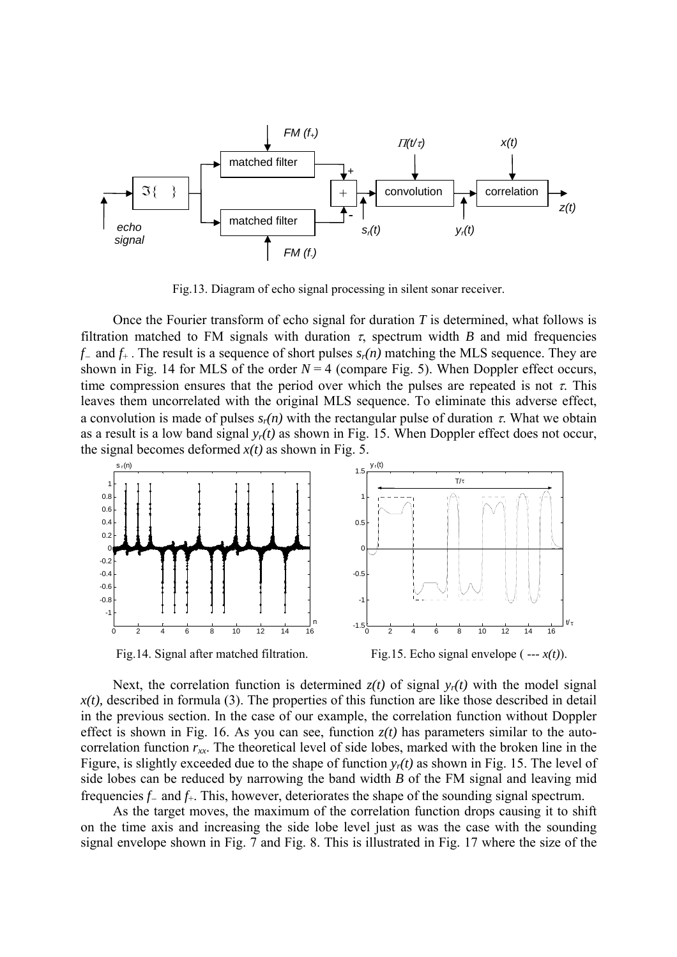

Fig.13. Diagram of echo signal processing in silent sonar receiver.

Once the Fourier transform of echo signal for duration *T* is determined, what follows is filtration matched to FM signals with duration  $\tau$ , spectrum width *B* and mid frequencies *f*<sup>−</sup> and *f*+ . The result is a sequence of short pulses *sr(n)* matching the MLS sequence. They are shown in Fig. 14 for MLS of the order  $N = 4$  (compare Fig. 5). When Doppler effect occurs, time compression ensures that the period over which the pulses are repeated is not  $\tau$ . This leaves them uncorrelated with the original MLS sequence. To eliminate this adverse effect, a convolution is made of pulses  $s_r(n)$  with the rectangular pulse of duration  $\tau$ . What we obtain as a result is a low band signal  $y_r(t)$  as shown in Fig. 15. When Doppler effect does not occur, the signal becomes deformed  $x(t)$  as shown in Fig. 5.



Fig.14. Signal after matched filtration. Fig.15. Echo signal envelope ( --- *x(t)*).

Next, the correlation function is determined  $z(t)$  of signal  $y_r(t)$  with the model signal  $x(t)$ , described in formula (3). The properties of this function are like those described in detail in the previous section. In the case of our example, the correlation function without Doppler effect is shown in Fig. 16. As you can see, function  $z(t)$  has parameters similar to the autocorrelation function  $r_{xx}$ . The theoretical level of side lobes, marked with the broken line in the Figure, is slightly exceeded due to the shape of function  $y_r(t)$  as shown in Fig. 15. The level of side lobes can be reduced by narrowing the band width *B* of the FM signal and leaving mid frequencies *f*<sup>−</sup> and *f*+. This, however, deteriorates the shape of the sounding signal spectrum.

 As the target moves, the maximum of the correlation function drops causing it to shift on the time axis and increasing the side lobe level just as was the case with the sounding signal envelope shown in Fig. 7 and Fig. 8. This is illustrated in Fig. 17 where the size of the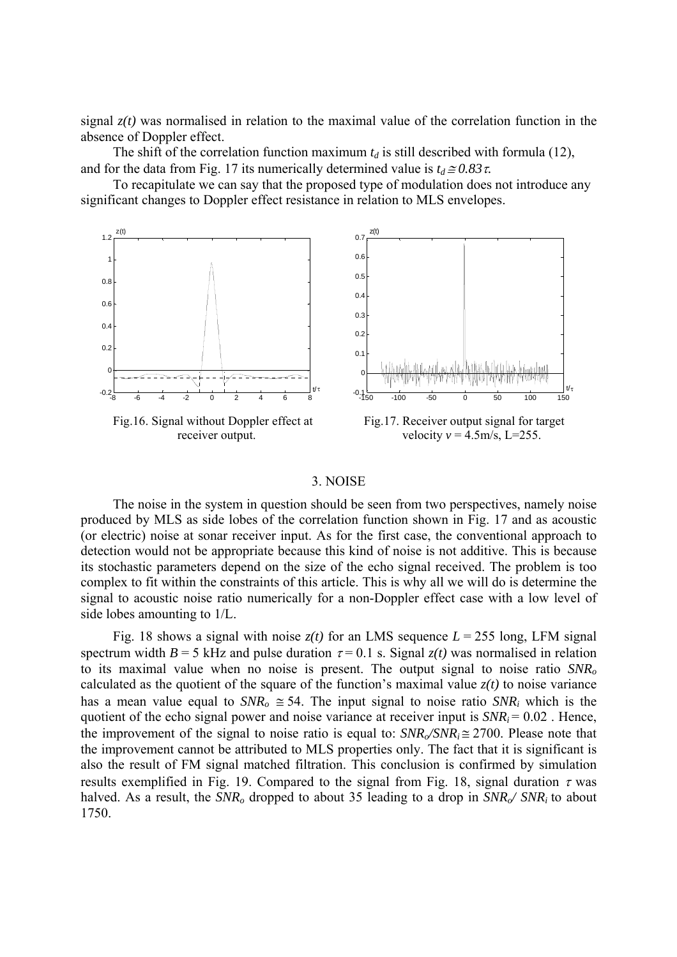signal  $z(t)$  was normalised in relation to the maximal value of the correlation function in the absence of Doppler effect.

The shift of the correlation function maximum  $t_d$  is still described with formula (12), and for the data from Fig. 17 its numerically determined value is  $t_d \approx 0.83 \tau$ .

 To recapitulate we can say that the proposed type of modulation does not introduce any significant changes to Doppler effect resistance in relation to MLS envelopes.



#### 3. NOISE

 The noise in the system in question should be seen from two perspectives, namely noise produced by MLS as side lobes of the correlation function shown in Fig. 17 and as acoustic (or electric) noise at sonar receiver input. As for the first case, the conventional approach to detection would not be appropriate because this kind of noise is not additive. This is because its stochastic parameters depend on the size of the echo signal received. The problem is too complex to fit within the constraints of this article. This is why all we will do is determine the signal to acoustic noise ratio numerically for a non-Doppler effect case with a low level of side lobes amounting to 1/L.

Fig. 18 shows a signal with noise  $z(t)$  for an LMS sequence  $L = 255$  long, LFM signal spectrum width  $B = 5$  kHz and pulse duration  $\tau = 0.1$  s. Signal  $z(t)$  was normalised in relation to its maximal value when no noise is present. The output signal to noise ratio *SNRo* calculated as the quotient of the square of the function's maximal value  $z(t)$  to noise variance has a mean value equal to  $SNR_0 \cong 54$ . The input signal to noise ratio  $SNR_i$  which is the quotient of the echo signal power and noise variance at receiver input is  $SNR_i = 0.02$ . Hence, the improvement of the signal to noise ratio is equal to:  $SNR_\text{o}/SNR_i \approx 2700$ . Please note that the improvement cannot be attributed to MLS properties only. The fact that it is significant is also the result of FM signal matched filtration. This conclusion is confirmed by simulation results exemplified in Fig. 19. Compared to the signal from Fig. 18, signal duration  $\tau$  was halved. As a result, the  $SNR_0$  dropped to about 35 leading to a drop in  $SNR_0 / SNR_i$  to about 1750.